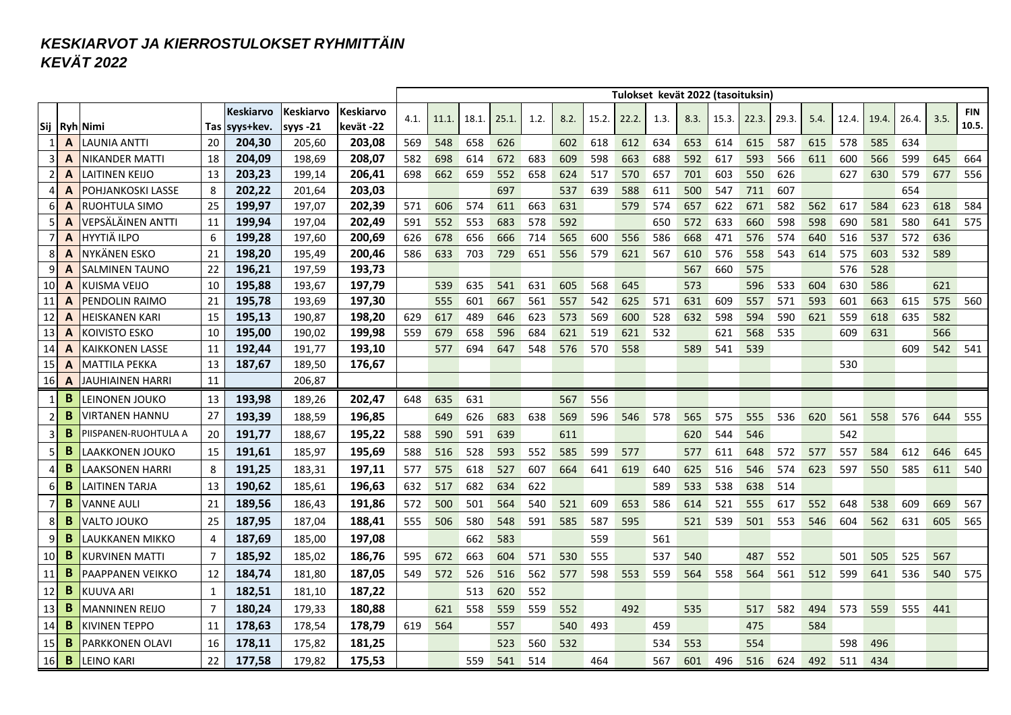## *KESKIARVOT JA KIERROSTULOKSET RYHMITTÄIN KEVÄT 2022*

|                |   |                        |                |                  |            |                  |      |       |       |       |      |      |       | Tulokset kevät 2022 (tasoituksin) |      |      |       |       |       |      |       |       |       |      |            |
|----------------|---|------------------------|----------------|------------------|------------|------------------|------|-------|-------|-------|------|------|-------|-----------------------------------|------|------|-------|-------|-------|------|-------|-------|-------|------|------------|
|                |   |                        |                | <b>Keskiarvo</b> | Keskiarvo  | <b>Keskiarvo</b> | 4.1. | 11.1. | 18.1. | 25.1. | 1.2. | 8.2. | 15.2. | 22.2.                             | 1.3. | 8.3. | 15.3. | 22.3. | 29.3. | 5.4. | 12.4. | 19.4. | 26.4. | 3.5. | <b>FIN</b> |
|                |   | Sij  Ryh Nimi          | Tas            | syys+kev.        | syys $-21$ | kevät -22        |      |       |       |       |      |      |       |                                   |      |      |       |       |       |      |       |       |       |      | 10.5.      |
|                | A | <b>LAUNIA ANTTI</b>    | 20             | 204,30           | 205,60     | 203,08           | 569  | 548   | 658   | 626   |      | 602  | 618   | 612                               | 634  | 653  | 614   | 615   | 587   | 615  | 578   | 585   | 634   |      |            |
| 3              | A | NIKANDER MATTI         | 18             | 204,09           | 198.69     | 208,07           | 582  | 698   | 614   | 672   | 683  | 609  | 598   | 663                               | 688  | 592  | 617   | 593   | 566   | 611  | 600   | 566   | 599   | 645  | 664        |
| $\overline{2}$ | A | LAITINEN KEIJO         | 13             | 203,23           | 199,14     | 206,41           | 698  | 662   | 659   | 552   | 658  | 624  | 517   | 570                               | 657  | 701  | 603   | 550   | 626   |      | 627   | 630   | 579   | 677  | 556        |
| $\overline{4}$ | A | POHJANKOSKI LASSE      | 8              | 202,22           | 201,64     | 203,03           |      |       |       | 697   |      | 537  | 639   | 588                               | 611  | 500  | 547   | 711   | 607   |      |       |       | 654   |      |            |
| 6              | A | RUOHTULA SIMO          | 25             | 199,97           | 197,07     | 202,39           | 571  | 606   | 574   | 611   | 663  | 631  |       | 579                               | 574  | 657  | 622   | 671   | 582   | 562  | 617   | 584   | 623   | 618  | 584        |
| -5             | A | VEPSÄLÄINEN ANTTI      | 11             | 199,94           | 197,04     | 202,49           | 591  | 552   | 553   | 683   | 578  | 592  |       |                                   | 650  | 572  | 633   | 660   | 598   | 598  | 690   | 581   | 580   | 641  | 575        |
| $\overline{7}$ | A | <b>HYYTIÄ ILPO</b>     | 6              | 199,28           | 197,60     | 200,69           | 626  | 678   | 656   | 666   | 714  | 565  | 600   | 556                               | 586  | 668  | 471   | 576   | 574   | 640  | 516   | 537   | 572   | 636  |            |
| 8              | A | NYKÄNEN ESKO           | 21             | 198,20           | 195,49     | 200,46           | 586  | 633   | 703   | 729   | 651  | 556  | 579   | 621                               | 567  | 610  | 576   | 558   | 543   | 614  | 575   | 603   | 532   | 589  |            |
| 9              | Α | SALMINEN TAUNO         | 22             | 196,21           | 197,59     | 193,73           |      |       |       |       |      |      |       |                                   |      | 567  | 660   | 575   |       |      | 576   | 528   |       |      |            |
| 10             | A | KUISMA VEIJO           | 10             | 195,88           | 193,67     | 197,79           |      | 539   | 635   | 541   | 631  | 605  | 568   | 645                               |      | 573  |       | 596   | 533   | 604  | 630   | 586   |       | 621  |            |
| 11             | Α | PENDOLIN RAIMO         | 21             | 195,78           | 193,69     | 197,30           |      | 555   | 601   | 667   | 561  | 557  | 542   | 625                               | 571  | 631  | 609   | 557   | 571   | 593  | 601   | 663   | 615   | 575  | 560        |
| 12             | Α | HEISKANEN KARI         | 15             | 195,13           | 190.87     | 198,20           | 629  | 617   | 489   | 646   | 623  | 573  | 569   | 600                               | 528  | 632  | 598   | 594   | 590   | 621  | 559   | 618   | 635   | 582  |            |
| 13             | Α | KOIVISTO ESKO          | 10             | 195,00           | 190,02     | 199,98           | 559  | 679   | 658   | 596   | 684  | 621  | 519   | 621                               | 532  |      | 621   | 568   | 535   |      | 609   | 631   |       | 566  |            |
| 14             | Α | KAIKKONEN LASSE        | 11             | 192,44           | 191,77     | 193,10           |      | 577   | 694   | 647   | 548  | 576  | 570   | 558                               |      | 589  | 541   | 539   |       |      |       |       | 609   | 542  | 541        |
| 15             | A | MATTILA PEKKA          | 13             | 187,67           | 189,50     | 176,67           |      |       |       |       |      |      |       |                                   |      |      |       |       |       |      | 530   |       |       |      |            |
| 16             | A | JAUHIAINEN HARRI       | 11             |                  | 206,87     |                  |      |       |       |       |      |      |       |                                   |      |      |       |       |       |      |       |       |       |      |            |
| 1              | B | LEINONEN JOUKO         | 13             | 193,98           | 189,26     | 202,47           | 648  | 635   | 631   |       |      | 567  | 556   |                                   |      |      |       |       |       |      |       |       |       |      |            |
| $\overline{2}$ | B | VIRTANEN HANNU         | 27             | 193,39           | 188,59     | 196,85           |      | 649   | 626   | 683   | 638  | 569  | 596   | 546                               | 578  | 565  | 575   | 555   | 536   | 620  | 561   | 558   | 576   | 644  | 555        |
| 3              | B | PIISPANEN-RUOHTULA A   | 20             | 191,77           | 188,67     | 195,22           | 588  | 590   | 591   | 639   |      | 611  |       |                                   |      | 620  | 544   | 546   |       |      | 542   |       |       |      |            |
| 5              | B | LAAKKONEN JOUKO        | 15             | 191,61           | 185,97     | 195,69           | 588  | 516   | 528   | 593   | 552  | 585  | 599   | 577                               |      | 577  | 611   | 648   | 572   | 577  | 557   | 584   | 612   | 646  | 645        |
| 4              | B | LAAKSONEN HARRI        | 8              | 191,25           | 183,31     | 197,11           | 577  | 575   | 618   | 527   | 607  | 664  | 641   | 619                               | 640  | 625  | 516   | 546   | 574   | 623  | 597   | 550   | 585   | 611  | 540        |
| 6              | B | LAITINEN TARJA         | 13             | 190,62           | 185.61     | 196,63           | 632  | 517   | 682   | 634   | 622  |      |       |                                   | 589  | 533  | 538   | 638   | 514   |      |       |       |       |      |            |
| 7              | B | VANNE AULI             | 21             | 189,56           | 186.43     | 191,86           | 572  | 500   | 501   | 564   | 540  | 521  | 609   | 653                               | 586  | 614  | 521   | 555   | 617   | 552  | 648   | 538   | 609   | 669  | 567        |
| 8              | B | VALTO JOUKO            | 25             | 187,95           | 187.04     | 188,41           | 555  | 506   | 580   | 548   | 591  | 585  | 587   | 595                               |      | 521  | 539   | 501   | 553   | 546  | 604   | 562   | 631   | 605  | 565        |
| 9              | B | LAUKKANEN MIKKO        | $\overline{4}$ | 187,69           | 185,00     | 197,08           |      |       | 662   | 583   |      |      | 559   |                                   | 561  |      |       |       |       |      |       |       |       |      |            |
| 10             | B | KURVINEN MATT          | 7              | 185,92           | 185.02     | 186,76           | 595  | 672   | 663   | 604   | 571  | 530  | 555   |                                   | 537  | 540  |       | 487   | 552   |      | 501   | 505   | 525   | 567  |            |
| 11             | B | PAAPPANEN VEIKKO       | 12             | 184,74           | 181.80     | 187,05           | 549  | 572   | 526   | 516   | 562  | 577  | 598   | 553                               | 559  | 564  | 558   | 564   | 561   | 512  | 599   | 641   | 536   | 540  | 575        |
| 12             | B | KUUVA ARI              | $\mathbf{1}$   | 182,51           | 181.10     | 187,22           |      |       | 513   | 620   | 552  |      |       |                                   |      |      |       |       |       |      |       |       |       |      |            |
| 13             | B | MANNINEN REIJO         | $\overline{7}$ | 180,24           | 179,33     | 180,88           |      | 621   | 558   | 559   | 559  | 552  |       | 492                               |      | 535  |       | 517   | 582   | 494  | 573   | 559   | 555   | 441  |            |
| 14             | B | KIVINEN TEPPO          | 11             | 178,63           | 178,54     | 178,79           | 619  | 564   |       | 557   |      | 540  | 493   |                                   | 459  |      |       | 475   |       | 584  |       |       |       |      |            |
| 15             | B | <b>PARKKONEN OLAVI</b> | 16             | 178,11           | 175,82     | 181,25           |      |       |       | 523   | 560  | 532  |       |                                   | 534  | 553  |       | 554   |       |      | 598   | 496   |       |      |            |
| 16             | B | LEINO KARI             | 22             | 177,58           | 179,82     | 175,53           |      |       | 559   | 541   | 514  |      | 464   |                                   | 567  | 601  | 496   | 516   | 624   | 492  | 511   | 434   |       |      |            |